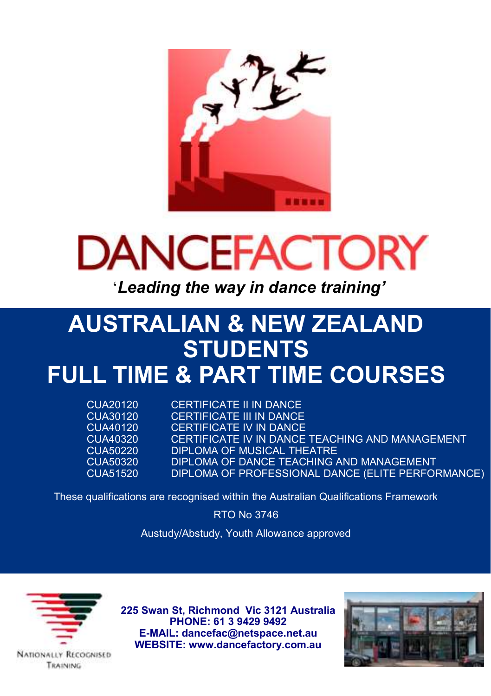



'*Leading the way in dance training'*

# **AUSTRALIAN & NEW ZEALAND STUDENTS FULL TIME & PART TIME COURSES**

CUA20120 CERTIFICATE II IN DANCE<br>CUA30120 CERTIFICATE III IN DANCE CUA30120 CERTIFICATE III IN DANCE<br>CUA40120 CERTIFICATE IV IN DANCE CUA40120 CERTIFICATE IV IN DANCE<br>CUA40320 CERTIFICATE IV IN DANCE CUA40320 CERTIFICATE IV IN DANCE TEACHING AND MANAGEMENT<br>CUA50220 DIPLOMA OF MUSICAL THEATRE CUA50220 DIPLOMA OF MUSICAL THEATRE<br>CUA50320 DIPLOMA OF DANCE TEACHING CUA50320 DIPLOMA OF DANCE TEACHING AND MANAGEMENT DIPLOMA OF PROFESSIONAL DANCE (ELITE PERFORMANCE)

These qualifications are recognised within the Australian Qualifications Framework

RTO No 3746

Austudy/Abstudy, Youth Allowance approved



**225 Swan St, Richmond Vic 3121 Australia PHONE: 61 3 9429 9492 E-MAIL: dancefac@netspace.net.au WEBSITE: www.dancefactory.com.au**



**NATIONALLY RECOGNISED** TRAINING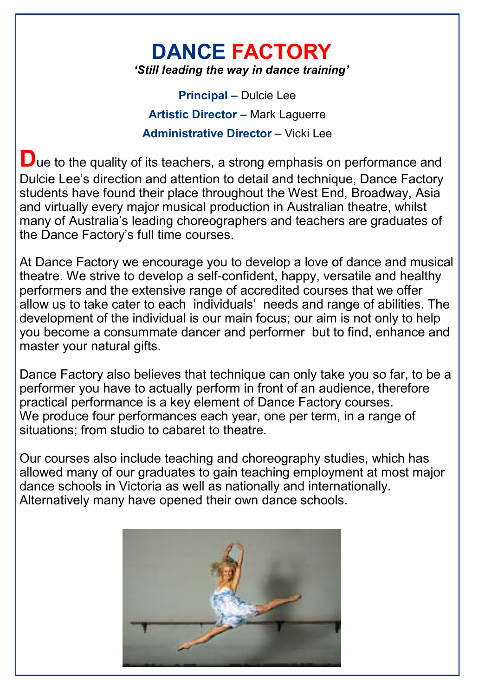# **DANCE FACTORY** *'Still leading the way in dance training'*

**Principal –** Dulcie Lee **Artistic Director –** Mark Laguerre **Administrative Director –** Vicki Lee

**D**ue to the quality of its teachers, a strong emphasis on performance and Dulcie Lee's direction and attention to detail and technique, Dance Factory students have found their place throughout the West End, Broadway, Asia and virtually every major musical production in Australian theatre, whilst many of Australia's leading choreographers and teachers are graduates of the Dance Factory's full time courses.

At Dance Factory we encourage you to develop a love of dance and musical theatre. We strive to develop a self-confident, happy, versatile and healthy performers and the extensive range of accredited courses that we offer allow us to take cater to each individuals' needs and range of abilities. The development of the individual is our main focus; our aim is not only to help you become a consummate dancer and performer but to find, enhance and master your natural gifts.

Dance Factory also believes that technique can only take you so far, to be a performer you have to actually perform in front of an audience, therefore practical performance is a key element of Dance Factory courses. We produce four performances each year, one per term, in a range of situations; from studio to cabaret to theatre.

Our courses also include teaching and choreography studies, which has allowed many of our graduates to gain teaching employment at most major dance schools in Victoria as well as nationally and internationally. Alternatively many have opened their own dance schools.

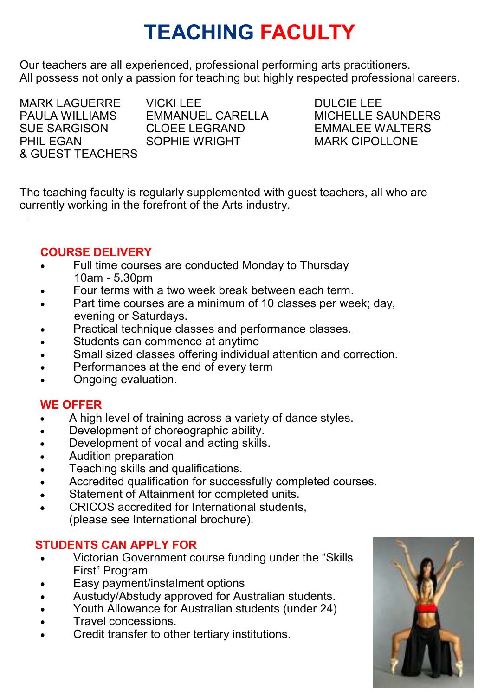# **TEACHING FACULTY**

Our teachers are all experienced, professional performing arts practitioners. All possess not only a passion for teaching but highly respected professional careers.

& GUEST TEACHERS

.

MARK LAGUERRE VICKI LEE<br>PAULA WILLIAMS EMMANUEL CARELLA MICHELLE S

PAULA WILLIAMS EMMANUEL CARELLA MICHELLE SAUNDERS SUE SARGISON CLOEE LEGRAND EMMALEE WALTERS<br>PHIL FGAN SOPHIF WRIGHT MARK CIPOLLONE **MARK CIPOLLONE** 

The teaching faculty is regularly supplemented with guest teachers, all who are currently working in the forefront of the Arts industry.

## **COURSE DELIVERY**

- Full time courses are conducted Monday to Thursday 10am - 5.30pm
- Four terms with a two week break between each term.
- Part time courses are a minimum of 10 classes per week; day, evening or Saturdays.
- Practical technique classes and performance classes.
- Students can commence at anytime
- Small sized classes offering individual attention and correction.
- Performances at the end of every term
- Ongoing evaluation.

## **WE OFFER**

- A high level of training across a variety of dance styles.
- Development of choreographic ability.
- Development of vocal and acting skills.
- Audition preparation
- Teaching skills and qualifications.
- Accredited qualification for successfully completed courses.
- Statement of Attainment for completed units.
- CRICOS accredited for International students, (please see International brochure).

# **STUDENTS CAN APPLY FOR**

- Victorian Government course funding under the "Skills" First" Program
- Easy payment/instalment options
- Austudy/Abstudy approved for Australian students.
- Youth Allowance for Australian students (under 24)
- Travel concessions.
- Credit transfer to other tertiary institutions.

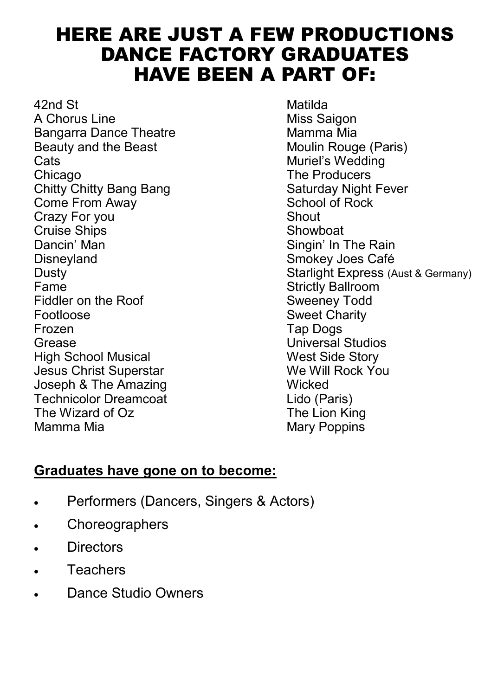# HERE ARE JUST A FEW PRODUCTIONS DANCE FACTORY GRADUATES HAVE BEEN A PART OF:

42nd St Matilda A Chorus Line Bangarra Dance Theatre **Mamma Mia**<br>Beauty and the Beast **Moulin Rouge** (Paris) Beauty and the Beast<br>Cats Chicago **The Producers**<br>Chitty Chitty Bang Bang **The Producers** Saturday Night Fever Chitty Chitty Bang Bang Saturday Night<br>
Come From Away<br>
School of Rock Come From Away School of Rocks School of Rocks School of Rocks School of Rocks School of Rocks School of Rocks School of Rocks School of Rocks School of Rocks School of Rocks School of Rocks School of Rocks School of Rocks Crazy For you Cruise Ships **Showboat** Dancin' Man Singin' In The Rain Fiddler on the Roof Footloose Sweet Charity Frozen Tap Dogs Grease Universal Studios High School Musical and Musical West Side Story<br>Jesus Christ Superstar Music We Will Rock You Jesus Christ Superstar Joseph & The Amazing<br>
Technicolor Dreamcoat<br>
Technicolor Dreamcoat<br>
Wicked Lido (Paris) Technicolor Dreamcoat Lido (Paris) The Wizard of  $Oz$ Mamma Mia **Mary Poppins** Mary Poppins

Muriel's Wedding Smokey Joes Café Dusty<br>
Dusty<br>
Fame Strictly Ballroom<br>
Strictly Ballroom Strictly Ballroom<br>Sweeney Todd

# **Graduates have gone on to become:**

- Performers (Dancers, Singers & Actors)
- Choreographers
- **Directors**
- **Teachers**
- Dance Studio Owners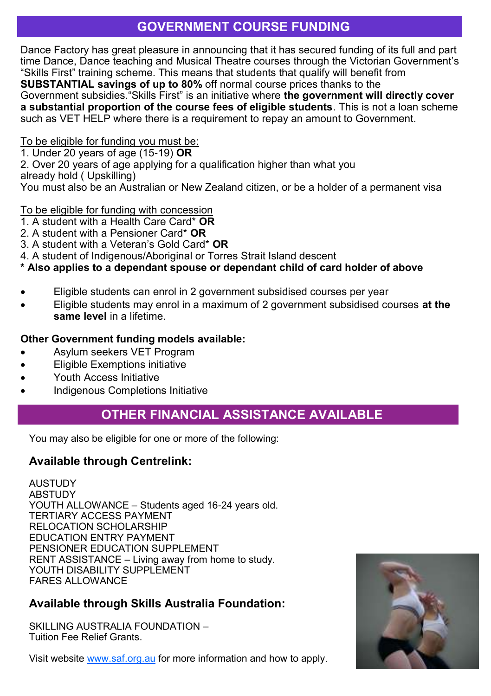# **GOVERNMENT COURSE FUNDING**

Dance Factory has great pleasure in announcing that it has secured funding of its full and part time Dance, Dance teaching and Musical Theatre courses through the Victorian Government's ―Skills First‖ training scheme. This means that students that qualify will benefit from **SUBSTANTIAL savings of up to 80%** off normal course prices thanks to the Government subsidies.<sup>"</sup>Skills First" is an initiative where the government will directly cover **a substantial proportion of the course fees of eligible students**. This is not a loan scheme

such as VET HELP where there is a requirement to repay an amount to Government.

#### To be eligible for funding you must be:

1. Under 20 years of age (15-19) **OR**

2. Over 20 years of age applying for a qualification higher than what you

already hold ( Upskilling)

You must also be an Australian or New Zealand citizen, or be a holder of a permanent visa

#### To be eligible for funding with concession

- 1. A student with a Health Care Card\* **OR**
- 2. A student with a Pensioner Card\* **OR**
- 3. A student with a Veteran's Gold Card\* **OR**
- 4. A student of Indigenous/Aboriginal or Torres Strait Island descent

## **\* Also applies to a dependant spouse or dependant child of card holder of above**

- Eligible students can enrol in 2 government subsidised courses per year
- Eligible students may enrol in a maximum of 2 government subsidised courses **at the same level** in a lifetime.

## **Other Government funding models available:**

- Asylum seekers VET Program
- Eligible Exemptions initiative
- Youth Access Initiative
- Indigenous Completions Initiative

# **OTHER FINANCIAL ASSISTANCE AVAILABLE**

You may also be eligible for one or more of the following:

## **Available through Centrelink:**

AUSTUDY ABSTUDY YOUTH ALLOWANCE – Students aged 16-24 years old. TERTIARY ACCESS PAYMENT RELOCATION SCHOLARSHIP EDUCATION ENTRY PAYMENT PENSIONER EDUCATION SUPPLEMENT RENT ASSISTANCE – Living away from home to study. YOUTH DISABILITY SUPPLEMENT FARES ALLOWANCE

# **Available through Skills Australia Foundation:**

SKILLING ALISTRALIA FOLINDATION – Tuition Fee Relief Grants.

Visit website [www.saf.org.au](http://www.saf.org.au/) for more information and how to apply.

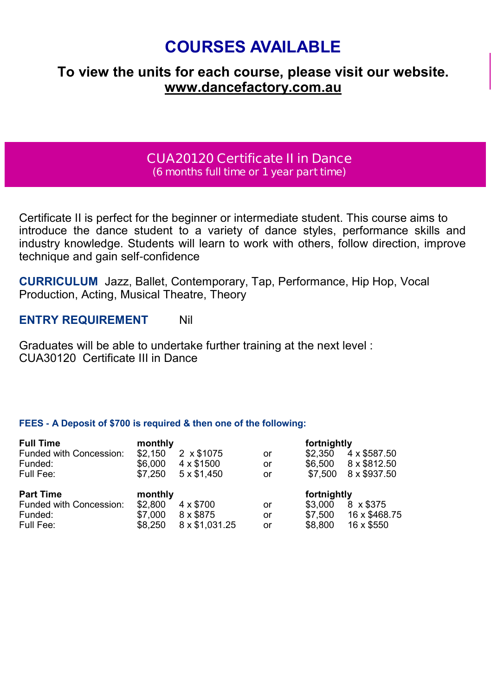# **COURSES AVAILABLE**

# **To view the units for each course, please visit our website. www.dancefactory.com.au**

## **CUA20120 Certificate II in Dance (6 months full time or 1 year part time)**

Certificate II is perfect for the beginner or intermediate student. This course aims to introduce the dance student to a variety of dance styles, performance skills and industry knowledge. Students will learn to work with others, follow direction, improve technique and gain self-confidence

**CURRICULUM** Jazz, Ballet, Contemporary, Tap, Performance, Hip Hop, Vocal Production, Acting, Musical Theatre, Theory

### **ENTRY REQUIREMENT** Nil

Graduates will be able to undertake further training at the next level : CUA30120 Certificate III in Dance

| <b>Full Time</b>        | monthly |                   |    | fortnightly |               |
|-------------------------|---------|-------------------|----|-------------|---------------|
| Funded with Concession: | \$2.150 | 2 x \$1075        | or | \$2.350     | 4 x \$587.50  |
| Funded:                 | \$6.000 | 4 x \$1500        | or | \$6.500     | 8 x \$812.50  |
| Full Fee:               | \$7.250 | $5 \times $1.450$ | or | \$7.500     | 8 x \$937.50  |
|                         |         |                   |    |             |               |
| <b>Part Time</b>        | monthly |                   |    | fortnightly |               |
| Funded with Concession: | \$2.800 | $4 \times $700$   | or | \$3.000     | 8 x \$375     |
| Funded:                 | \$7.000 | 8 x \$875         | or | \$7.500     | 16 x \$468.75 |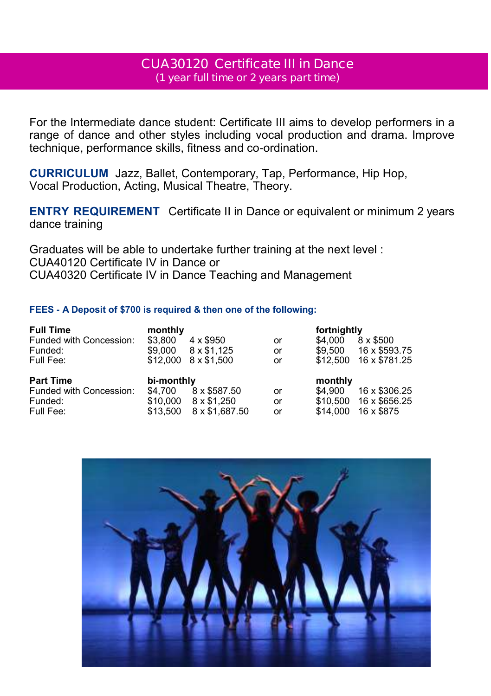## **CUA30120 Certificate III in Dance (1 year full time or 2 years part time)**

For the Intermediate dance student: Certificate III aims to develop performers in a range of dance and other styles including vocal production and drama. Improve technique, performance skills, fitness and co-ordination.

**CURRICULUM** Jazz, Ballet, Contemporary, Tap, Performance, Hip Hop, Vocal Production, Acting, Musical Theatre, Theory.

**ENTRY REQUIREMENT** Certificate II in Dance or equivalent or minimum 2 years dance training

Graduates will be able to undertake further training at the next level : CUA40120 Certificate IV in Dance or CUA40320 Certificate IV in Dance Teaching and Management

| <b>Full Time</b>        | monthly    |                 |    | fortnightly |               |
|-------------------------|------------|-----------------|----|-------------|---------------|
| Funded with Concession: | \$3.800    | $4 \times $950$ | or | \$4.000     | 8 x \$500     |
| Funded:                 | \$9.000    | 8 x \$1.125     | or | \$9.500     | 16 x \$593.75 |
| Full Fee:               | \$12,000   | 8 x \$1,500     | or | \$12,500    | 16 x \$781.25 |
|                         |            |                 |    |             |               |
| <b>Part Time</b>        | bi-monthly |                 |    | monthly     |               |
| Funded with Concession: | \$4.700    | 8 x \$587.50    | or | \$4,900     | 16 x \$306.25 |
| Funded:                 | \$10,000   | 8 x \$1.250     | or | \$10.500    | 16 x \$656.25 |

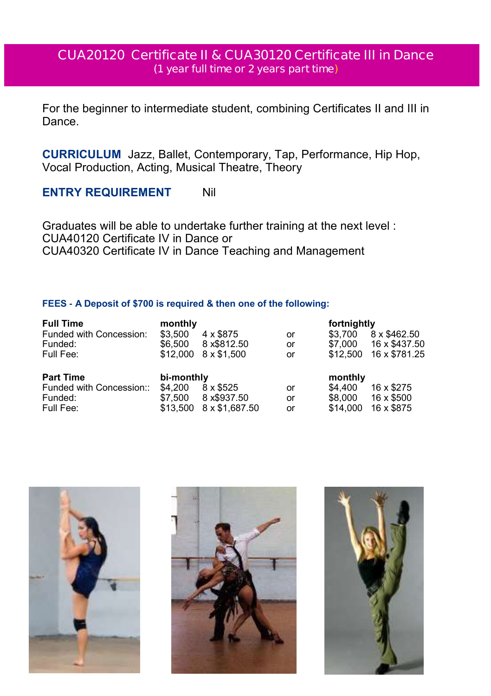# **CUA20120 Certificate II & CUA30120 Certificate III in Dance (1 year full time or 2 years part time)**

For the beginner to intermediate student, combining Certificates II and III in Dance.

**CURRICULUM** Jazz, Ballet, Contemporary, Tap, Performance, Hip Hop, Vocal Production, Acting, Musical Theatre, Theory

## **ENTRY REQUIREMENT** Nil

Graduates will be able to undertake further training at the next level : CUA40120 Certificate IV in Dance or CUA40320 Certificate IV in Dance Teaching and Management

| <b>Full Time</b>         | monthly    |                |    | fortnightly |               |
|--------------------------|------------|----------------|----|-------------|---------------|
| Funded with Concession:  | \$3.500    | 4 x \$875      | or | \$3.700     | 8 x \$462.50  |
| Funded:                  | \$6.500    | 8 x \$812.50   | or | \$7.000     | 16 x \$437.50 |
| Full Fee:                | \$12,000   | 8 x \$1.500    | or | \$12,500    | 16 x \$781.25 |
| <b>Part Time</b>         | bi-monthly |                |    | monthly     |               |
| Funded with Concession:: | \$4.200    | 8 x \$525      | or | \$4,400     | 16 x \$275    |
| Funded:                  | \$7.500    | 8 x \$937.50   | or | \$8,000     | 16 x \$500    |
| Full Fee:                | \$13.500   | 8 x \$1,687.50 | or | \$14.000    | 16 x \$875    |





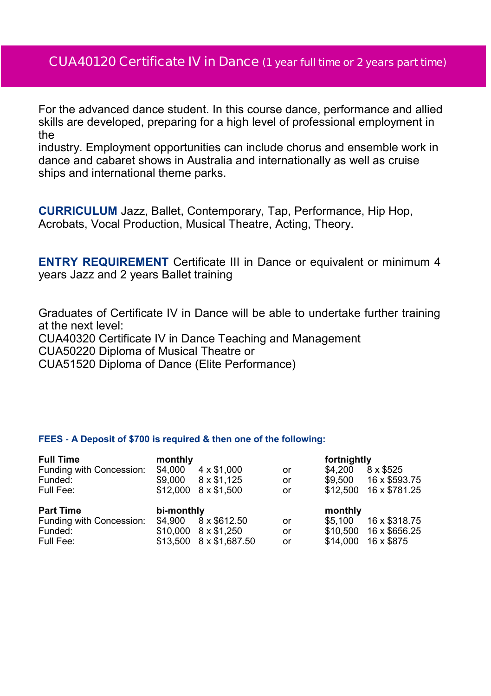# **CUA40120 Certificate IV in Dance (1 year full time or 2 years part time)**

For the advanced dance student. In this course dance, performance and allied skills are developed, preparing for a high level of professional employment in the

industry. Employment opportunities can include chorus and ensemble work in dance and cabaret shows in Australia and internationally as well as cruise ships and international theme parks.

**CURRICULUM** Jazz, Ballet, Contemporary, Tap, Performance, Hip Hop, Acrobats, Vocal Production, Musical Theatre, Acting, Theory.

**ENTRY REQUIREMENT** Certificate III in Dance or equivalent or minimum 4 years Jazz and 2 years Ballet training

Graduates of Certificate IV in Dance will be able to undertake further training at the next level:

CUA40320 Certificate IV in Dance Teaching and Management CUA50220 Diploma of Musical Theatre or

CUA51520 Diploma of Dance (Elite Performance)

| <b>Full Time</b>         | monthly    |                   |    | fortnightly |               |
|--------------------------|------------|-------------------|----|-------------|---------------|
| Funding with Concession: | \$4.000    | $4 \times $1.000$ | or | \$4.200     | 8 x \$525     |
| Funded:                  | \$9.000    | 8 x \$1.125       | or | \$9.500     | 16 x \$593.75 |
| Full Fee:                | \$12,000   | 8 x \$1.500       | or | \$12,500    | 16 x \$781.25 |
|                          |            |                   |    |             |               |
| <b>Part Time</b>         | bi-monthly |                   |    | monthly     |               |
| Funding with Concession: | \$4.900    | 8 x \$612.50      | or | \$5.100     | 16 x \$318.75 |
| Funded:                  | \$10,000   | 8 x \$1.250       | or | \$10,500    | 16 x \$656.25 |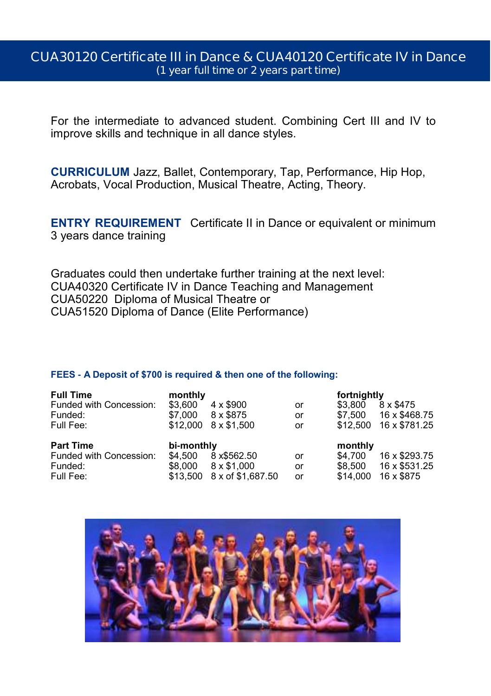## **CUA30120 Certificate III in Dance & CUA40120 Certificate IV in Dance (1 year full time or 2 years part time)**

For the intermediate to advanced student. Combining Cert III and IV to improve skills and technique in all dance styles.

**CURRICULUM** Jazz, Ballet, Contemporary, Tap, Performance, Hip Hop, Acrobats, Vocal Production, Musical Theatre, Acting, Theory.

**ENTRY REQUIREMENT** Certificate II in Dance or equivalent or minimum 3 years dance training

Graduates could then undertake further training at the next level: CUA40320 Certificate IV in Dance Teaching and Management CUA50220 Diploma of Musical Theatre or CUA51520 Diploma of Dance (Elite Performance)

| <b>Full Time</b>        | monthly    |                   |    | fortnightly |               |
|-------------------------|------------|-------------------|----|-------------|---------------|
| Funded with Concession: | \$3.600    | $4 \times $900$   | or | \$3.800     | 8 x \$475     |
| Funded:                 | \$7.000    | 8 x \$875         | or | \$7.500     | 16 x \$468.75 |
| Full Fee:               | \$12,000   | $8 \times $1.500$ | or | \$12,500    | 16 x \$781.25 |
|                         |            |                   |    |             |               |
| <b>Part Time</b>        | bi-monthly |                   |    | monthly     |               |
| Funded with Concession: | \$4.500    | 8 x \$562.50      | or | \$4.700     | 16 x \$293.75 |
| Funded:                 | \$8.000    | $8 \times $1.000$ | or | \$8.500     | 16 x \$531.25 |

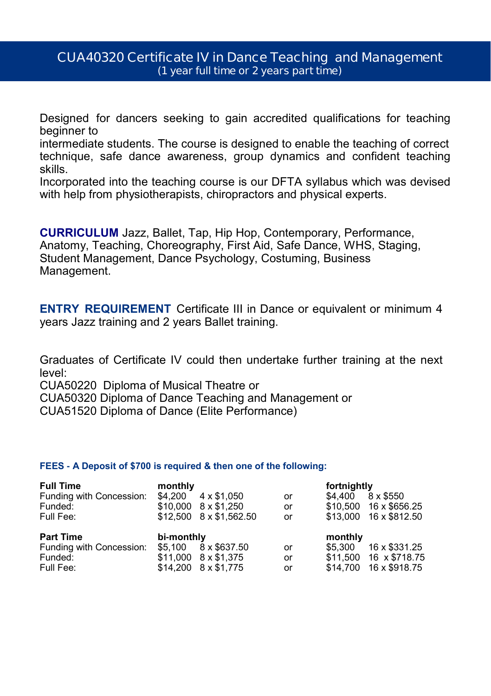## **CUA40320 Certificate IV in Dance Teaching and Management (1 year full time or 2 years part time)**

Designed for dancers seeking to gain accredited qualifications for teaching beginner to

intermediate students. The course is designed to enable the teaching of correct technique, safe dance awareness, group dynamics and confident teaching skills.

Incorporated into the teaching course is our DFTA syllabus which was devised with help from physiotherapists, chiropractors and physical experts.

**CURRICULUM** Jazz, Ballet, Tap, Hip Hop, Contemporary, Performance, Anatomy, Teaching, Choreography, First Aid, Safe Dance, WHS, Staging, Student Management, Dance Psychology, Costuming, Business Management.

**ENTRY REQUIREMENT** Certificate III in Dance or equivalent or minimum 4 years Jazz training and 2 years Ballet training.

Graduates of Certificate IV could then undertake further training at the next level:

CUA50220 Diploma of Musical Theatre or

CUA50320 Diploma of Dance Teaching and Management or CUA51520 Diploma of Dance (Elite Performance)

| <b>Full Time</b>         | monthly    |                                 |    | fortnightly |                        |
|--------------------------|------------|---------------------------------|----|-------------|------------------------|
| Funding with Concession: | \$4.200    | $4 \times $1.050$               | or | \$4.400     | 8 x \$550              |
| Funded:                  |            | $$10.000 \quad 8 \times $1.250$ | or |             | \$10,500 16 x \$656.25 |
| Full Fee:                |            | \$12,500 8 x \$1,562.50         | or |             | \$13,000 16 x \$812.50 |
|                          |            |                                 |    |             |                        |
|                          |            |                                 |    |             |                        |
| <b>Part Time</b>         | bi-monthly |                                 |    | monthly     |                        |
| Funding with Concession: | \$5.100    | 8 x \$637.50                    | or | \$5.300     | 16 x \$331.25          |
| Funded:                  |            | $$11.000$ $8 \times $1.375$     | or |             | \$11,500 16 x \$718.75 |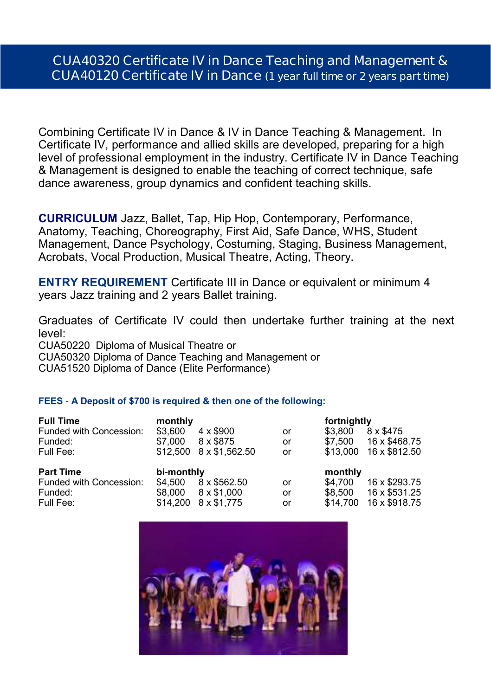# **CUA40320 Certificate IV in Dance Teaching and Management & CUA40120 Certificate IV in Dance (1 year full time or 2 years part time)**

Combining Certificate IV in Dance & IV in Dance Teaching & Management. In Certificate IV, performance and allied skills are developed, preparing for a high level of professional employment in the industry. Certificate IV in Dance Teaching & Management is designed to enable the teaching of correct technique, safe dance awareness, group dynamics and confident teaching skills.

**CURRICULUM** Jazz, Ballet, Tap, Hip Hop, Contemporary, Performance, Anatomy, Teaching, Choreography, First Aid, Safe Dance, WHS, Student Management, Dance Psychology, Costuming, Staging, Business Management, Acrobats, Vocal Production, Musical Theatre, Acting, Theory.

**ENTRY REQUIREMENT** Certificate III in Dance or equivalent or minimum 4 years Jazz training and 2 years Ballet training.

Graduates of Certificate IV could then undertake further training at the next level:

CUA50220 Diploma of Musical Theatre or

CUA50320 Diploma of Dance Teaching and Management or

CUA51520 Diploma of Dance (Elite Performance)

| <b>Full Time</b>        | monthly    |                   |    | fortnightly |               |
|-------------------------|------------|-------------------|----|-------------|---------------|
| Funded with Concession: | \$3.600    | $4 \times $900$   | or | \$3.800     | 8 x \$475     |
| Funded:                 | \$7.000    | 8 x \$875         | or | \$7.500     | 16 x \$468.75 |
| Full Fee:               | \$12,500   | 8 x \$1.562.50    | or | \$13.000    | 16 x \$812.50 |
| <b>Part Time</b>        | bi-monthly |                   |    | monthly     |               |
| Funded with Concession: | \$4.500    | 8 x \$562.50      | or | \$4.700     | 16 x \$293.75 |
| Funded:                 | \$8.000    | $8 \times $1.000$ | or | \$8.500     | 16 x \$531.25 |
| Full Fee:               |            |                   |    |             |               |

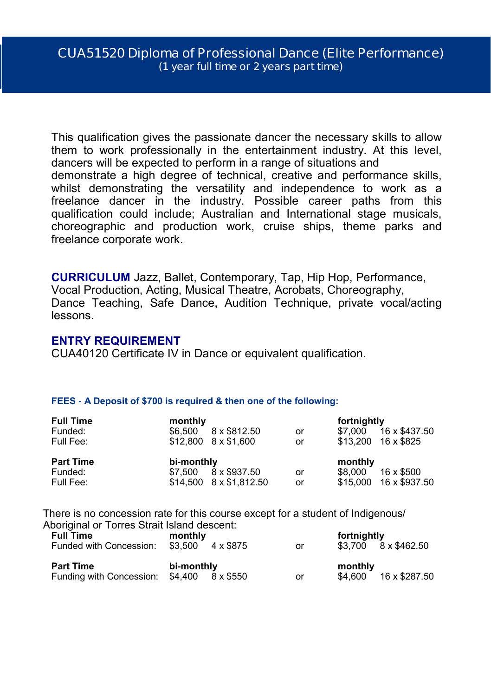This qualification gives the passionate dancer the necessary skills to allow them to work professionally in the entertainment industry. At this level, dancers will be expected to perform in a range of situations and demonstrate a high degree of technical, creative and performance skills, whilst demonstrating the versatility and independence to work as a freelance dancer in the industry. Possible career paths from this qualification could include; Australian and International stage musicals, choreographic and production work, cruise ships, theme parks and freelance corporate work.

**CURRICULUM** Jazz, Ballet, Contemporary, Tap, Hip Hop, Performance, Vocal Production, Acting, Musical Theatre, Acrobats, Choreography, Dance Teaching, Safe Dance, Audition Technique, private vocal/acting lessons.

#### **ENTRY REQUIREMENT**

CUA40120 Certificate IV in Dance or equivalent qualification.

#### **FEES - A Deposit of \$700 is required & then one of the following:**

| <b>Full Time</b><br>Funded:<br>Full Fee: | monthly<br>\$6,500    | 8 x \$812.50<br>$$12,800$ $8 \times $1,600$    | or<br>or | fortnightly<br>\$7.000 | 16 x \$437.50<br>$$13.200$ 16 x \$825 |
|------------------------------------------|-----------------------|------------------------------------------------|----------|------------------------|---------------------------------------|
| <b>Part Time</b><br>Funded:<br>Full Fee: | bi-monthly<br>\$7.500 | 8 x \$937.50<br>$$14.500$ $8 \times $1.812.50$ | or<br>or | monthly<br>\$8,000     | 16 x \$500<br>\$15,000 16 x \$937.50  |

There is no concession rate for this course except for a student of Indigenous/ Aboriginal or Torres Strait Island descent:

| <b>Full Time</b><br>Funded with Concession:                           | monthly<br>4 x \$875<br>\$3.500 | or | fortnightly<br>\$3.700 8 x \$462.50 |
|-----------------------------------------------------------------------|---------------------------------|----|-------------------------------------|
| <b>Part Time</b><br>Funding with Concession: $$4,400$ $8 \times $550$ | bi-monthly                      | or | monthly<br>16 x \$287.50<br>\$4.600 |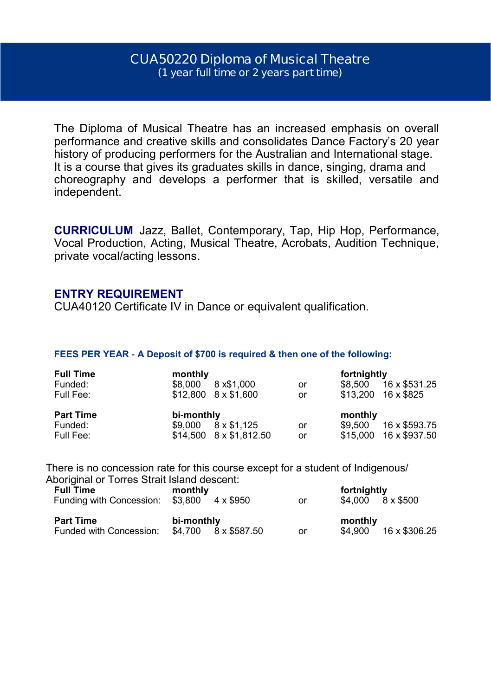## **CUA50220 Diploma of Musical Theatre (1 year full time or 2 years part time)**

The Diploma of Musical Theatre has an increased emphasis on overall performance and creative skills and consolidates Dance Factory's 20 year history of producing performers for the Australian and International stage. It is a course that gives its graduates skills in dance, singing, drama and choreography and develops a performer that is skilled, versatile and independent.

**CURRICULUM** Jazz, Ballet, Contemporary, Tap, Hip Hop, Performance, Vocal Production, Acting, Musical Theatre, Acrobats, Audition Technique, private vocal/acting lessons.

#### **ENTRY REQUIREMENT**

CUA40120 Certificate IV in Dance or equivalent qualification.

#### **FEES PER YEAR - A Deposit of \$700 is required & then one of the following:**

| <b>Full Time</b><br>Funded:<br>Full Fee: | monthly<br>8 x \$1,000<br>\$8.000<br>$$12.800$ $8 \times $1.600$ | or<br>or | fortnightly<br>16 x \$531.25<br>\$8.500<br>$$13.200$ 16 x \$825  |
|------------------------------------------|------------------------------------------------------------------|----------|------------------------------------------------------------------|
| <b>Part Time</b><br>Funded:<br>Full Fee: | bi-monthly<br>8 x \$1.125<br>\$9.000<br>\$14,500 8 x \$1,812.50  | or<br>or | monthly<br>16 x \$593.75<br>\$9.500<br>16 x \$937.50<br>\$15.000 |

There is no concession rate for this course except for a student of Indigenous/ Aboriginal or Torres Strait Island descent:

| <b>Full Time</b><br>Funding with Concession: \$3,800 4 x \$950 | monthly                            | or | fortnightly<br>$$4.000 \quad 8 \times $500$ |
|----------------------------------------------------------------|------------------------------------|----|---------------------------------------------|
| <b>Part Time</b><br>Funded with Concession:                    | bi-monthly<br>\$4.700 8 x \$587.50 | or | monthly<br>16 x \$306.25<br>\$4.900         |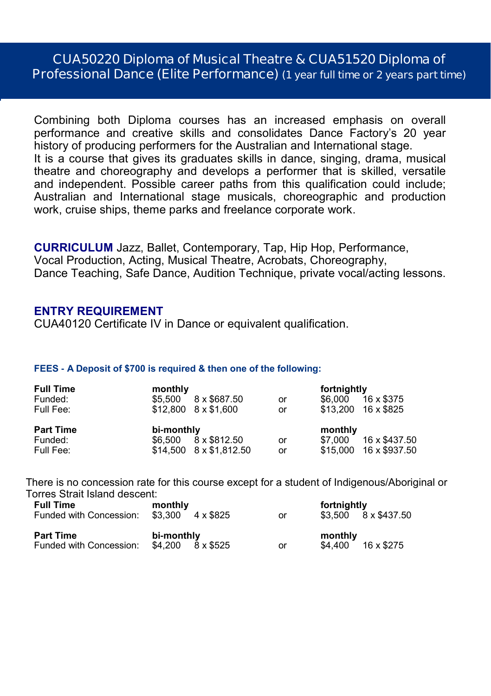# **CUA50220 Diploma of Musical Theatre & CUA51520 Diploma of Professional Dance (Elite Performance) (1 year full time or 2 years part time)**

Combining both Diploma courses has an increased emphasis on overall performance and creative skills and consolidates Dance Factory's 20 year history of producing performers for the Australian and International stage. It is a course that gives its graduates skills in dance, singing, drama, musical theatre and choreography and develops a performer that is skilled, versatile and independent. Possible career paths from this qualification could include; Australian and International stage musicals, choreographic and production work, cruise ships, theme parks and freelance corporate work.

**CURRICULUM** Jazz, Ballet, Contemporary, Tap, Hip Hop, Performance, Vocal Production, Acting, Musical Theatre, Acrobats, Choreography, Dance Teaching, Safe Dance, Audition Technique, private vocal/acting lessons.

#### **ENTRY REQUIREMENT**

CUA40120 Certificate IV in Dance or equivalent qualification.

#### **FEES - A Deposit of \$700 is required & then one of the following:**

| <b>Full Time</b> | monthly                     |    | fortnightly              |
|------------------|-----------------------------|----|--------------------------|
| Funded:          | 8 x \$687.50<br>\$5.500     | or | 16 x \$375<br>\$6.000    |
| Full Fee:        | $$12.800$ $8 \times $1.600$ | or | $$13.200$ 16 x \$825     |
|                  |                             |    |                          |
| <b>Part Time</b> | bi-monthly                  |    | monthly                  |
| Funded:          | 8 x \$812.50<br>\$6,500     | or | 16 x \$437.50<br>\$7.000 |

There is no concession rate for this course except for a student of Indigenous/Aboriginal or Torres Strait Island descent:

| monthly                      |                          |         |                             |
|------------------------------|--------------------------|---------|-----------------------------|
| $$3.300 \quad 4 \times $825$ | or                       |         | $$3.500$ $8 \times $437.50$ |
| bi-monthly                   |                          | monthly | 16 x \$275                  |
|                              | $$4.200$ $8 \times $525$ | or      | fortnightly<br>\$4.400      |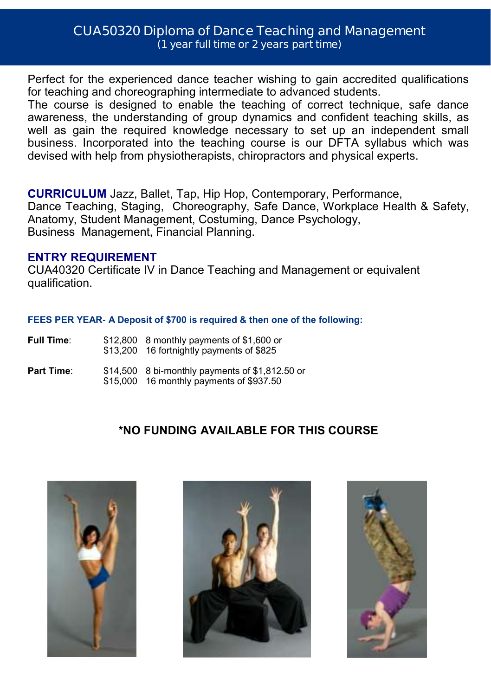# **CUA50320 Diploma of Dance Teaching and Management (1 year full time or 2 years part time)**

Perfect for the experienced dance teacher wishing to gain accredited qualifications for teaching and choreographing intermediate to advanced students.

The course is designed to enable the teaching of correct technique, safe dance awareness, the understanding of group dynamics and confident teaching skills, as well as gain the required knowledge necessary to set up an independent small business. Incorporated into the teaching course is our DFTA syllabus which was devised with help from physiotherapists, chiropractors and physical experts.

**CURRICULUM** Jazz, Ballet, Tap, Hip Hop, Contemporary, Performance, Dance Teaching, Staging, Choreography, Safe Dance, Workplace Health & Safety, Anatomy, Student Management, Costuming, Dance Psychology, Business Management, Financial Planning.

## **ENTRY REQUIREMENT**

CUA40320 Certificate IV in Dance Teaching and Management or equivalent qualification.

#### **FEES PER YEAR- A Deposit of \$700 is required & then one of the following:**

| Full Time: | $$12,800$ 8 monthly payments of \$1,600 or<br>\$13,200 16 fortnightly payments of \$825      |
|------------|----------------------------------------------------------------------------------------------|
| Part Time: | $$14,500$ 8 bi-monthly payments of \$1,812.50 or<br>\$15,000 16 monthly payments of \$937.50 |

# **\*NO FUNDING AVAILABLE FOR THIS COURSE**





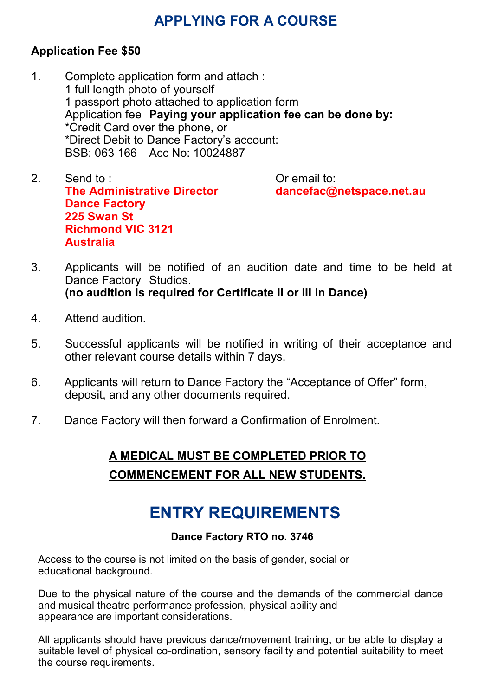# **APPLYING FOR A COURSE**

# **Application Fee \$50**

- 1. Complete application form and attach : 1 full length photo of yourself 1 passport photo attached to application form Application fee **Paying your application fee can be done by:** \*Credit Card over the phone, or \*Direct Debit to Dance Factory's account: BSB: 063 166 Acc No: 10024887
- 2. Send to : Or email to: **The Administrative Director dancefac@netspace.net.au Dance Factory 225 Swan St Richmond VIC 3121 Australia**

- 3. Applicants will be notified of an audition date and time to be held at Dance Factory Studios. **(no audition is required for Certificate II or III in Dance)**
- 4. Attend audition.
- 5. Successful applicants will be notified in writing of their acceptance and other relevant course details within 7 days.
- 6. Applicants will return to Dance Factory the "Acceptance of Offer" form, deposit, and any other documents required.
- 7. Dance Factory will then forward a Confirmation of Enrolment.

# **A MEDICAL MUST BE COMPLETED PRIOR TO COMMENCEMENT FOR ALL NEW STUDENTS.**

# **ENTRY REQUIREMENTS**

## **Dance Factory RTO no. 3746**

Access to the course is not limited on the basis of gender, social or educational background.

Due to the physical nature of the course and the demands of the commercial dance and musical theatre performance profession, physical ability and appearance are important considerations.

All applicants should have previous dance/movement training, or be able to display a suitable level of physical co-ordination, sensory facility and potential suitability to meet the course requirements.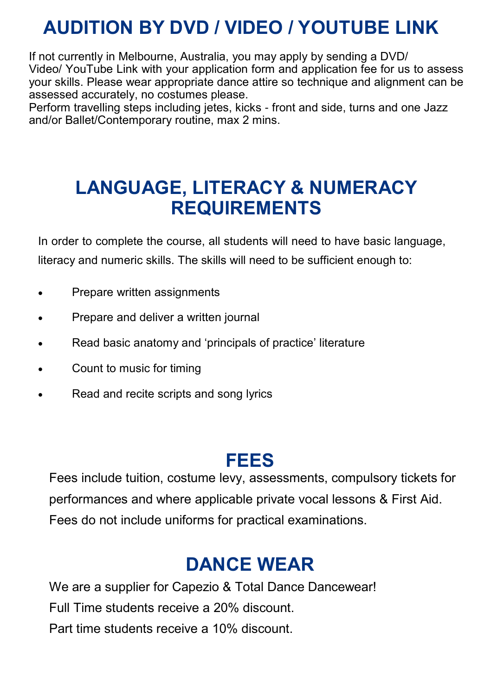# **AUDITION BY DVD / VIDEO / YOUTUBE LINK**

If not currently in Melbourne, Australia, you may apply by sending a DVD/ Video/ YouTube Link with your application form and application fee for us to assess your skills. Please wear appropriate dance attire so technique and alignment can be assessed accurately, no costumes please.

Perform travelling steps including jetes, kicks - front and side, turns and one Jazz and/or Ballet/Contemporary routine, max 2 mins.

# **LANGUAGE, LITERACY & NUMERACY REQUIREMENTS**

In order to complete the course, all students will need to have basic language, literacy and numeric skills. The skills will need to be sufficient enough to:

- Prepare written assignments
- Prepare and deliver a written journal
- Read basic anatomy and 'principals of practice' literature
- Count to music for timing
- Read and recite scripts and song lyrics

# **FEES**

Fees include tuition, costume levy, assessments, compulsory tickets for performances and where applicable private vocal lessons & First Aid. Fees do not include uniforms for practical examinations.

# **DANCE WEAR**

We are a supplier for Capezio & Total Dance Dancewear! Full Time students receive a 20% discount. Part time students receive a 10% discount.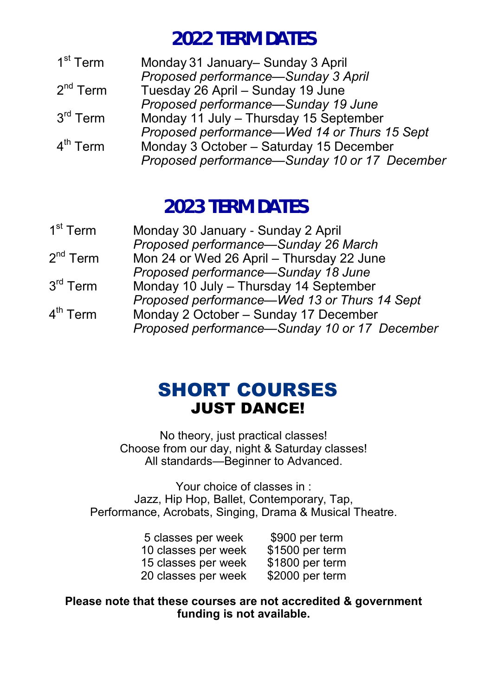# **2022 TERM DATES**

| 1 <sup>st</sup> Term | Monday 31 January- Sunday 3 April             |
|----------------------|-----------------------------------------------|
|                      | Proposed performance-Sunday 3 April           |
| $2nd$ Term           | Tuesday 26 April - Sunday 19 June             |
|                      | Proposed performance-Sunday 19 June           |
| $3rd$ Term           | Monday 11 July - Thursday 15 September        |
|                      | Proposed performance—Wed 14 or Thurs 15 Sept  |
| $4^{\text{th}}$ Term | Monday 3 October - Saturday 15 December       |
|                      | Proposed performance-Sunday 10 or 17 December |

# **2023 TERM DATES**

| 1 <sup>st</sup> Term | Monday 30 January - Sunday 2 April            |
|----------------------|-----------------------------------------------|
|                      | Proposed performance-Sunday 26 March          |
| $2^{nd}$ Term        | Mon 24 or Wed 26 April - Thursday 22 June     |
|                      | Proposed performance-Sunday 18 June           |
| $3^{\text{rd}}$ Term | Monday 10 July - Thursday 14 September        |
|                      | Proposed performance—Wed 13 or Thurs 14 Sept  |
| 4 <sup>th</sup> Term | Monday 2 October - Sunday 17 December         |
|                      | Proposed performance-Sunday 10 or 17 December |
|                      |                                               |

# SHORT COURSES JUST DANCE!

No theory, just practical classes! Choose from our day, night & Saturday classes! All standards—Beginner to Advanced.

Your choice of classes in : Jazz, Hip Hop, Ballet, Contemporary, Tap, Performance, Acrobats, Singing, Drama & Musical Theatre.

| 5 classes per week  | \$900 per term  |
|---------------------|-----------------|
| 10 classes per week | \$1500 per term |
| 15 classes per week | \$1800 per term |
| 20 classes per week | \$2000 per term |

**Please note that these courses are not accredited & government funding is not available.**